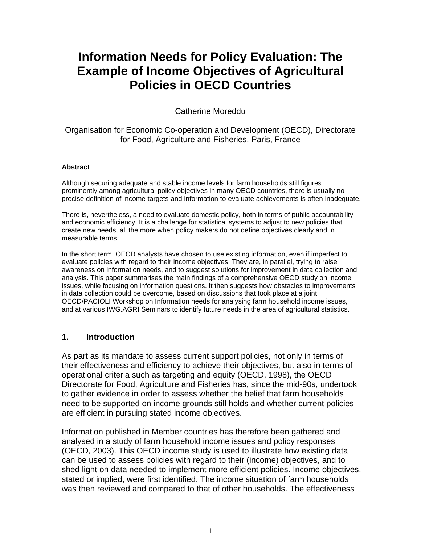# **Information Needs for Policy Evaluation: The Example of Income Objectives of Agricultural Policies in OECD Countries**

Catherine Moreddu

### Organisation for Economic Co-operation and Development (OECD), Directorate for Food, Agriculture and Fisheries, Paris, France

#### **Abstract**

Although securing adequate and stable income levels for farm households still figures prominently among agricultural policy objectives in many OECD countries, there is usually no precise definition of income targets and information to evaluate achievements is often inadequate.

There is, nevertheless, a need to evaluate domestic policy, both in terms of public accountability and economic efficiency. It is a challenge for statistical systems to adjust to new policies that create new needs, all the more when policy makers do not define objectives clearly and in measurable terms.

In the short term, OECD analysts have chosen to use existing information, even if imperfect to evaluate policies with regard to their income objectives. They are, in parallel, trying to raise awareness on information needs, and to suggest solutions for improvement in data collection and analysis. This paper summarises the main findings of a comprehensive OECD study on income issues, while focusing on information questions. It then suggests how obstacles to improvements in data collection could be overcome, based on discussions that took place at a joint OECD/PACIOLI Workshop on Information needs for analysing farm household income issues, and at various IWG.AGRI Seminars to identify future needs in the area of agricultural statistics.

# **1. Introduction**

As part as its mandate to assess current support policies, not only in terms of their effectiveness and efficiency to achieve their objectives, but also in terms of operational criteria such as targeting and equity (OECD, 1998), the OECD Directorate for Food, Agriculture and Fisheries has, since the mid-90s, undertook to gather evidence in order to assess whether the belief that farm households need to be supported on income grounds still holds and whether current policies are efficient in pursuing stated income objectives.

Information published in Member countries has therefore been gathered and analysed in a study of farm household income issues and policy responses (OECD, 2003). This OECD income study is used to illustrate how existing data can be used to assess policies with regard to their (income) objectives, and to shed light on data needed to implement more efficient policies. Income objectives, stated or implied, were first identified. The income situation of farm households was then reviewed and compared to that of other households. The effectiveness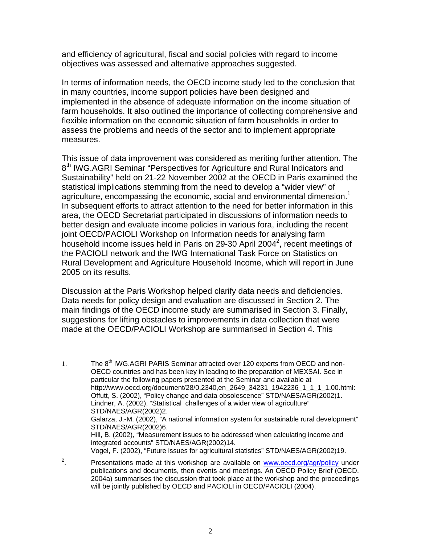and efficiency of agricultural, fiscal and social policies with regard to income objectives was assessed and alternative approaches suggested.

In terms of information needs, the OECD income study led to the conclusion that in many countries, income support policies have been designed and implemented in the absence of adequate information on the income situation of farm households. It also outlined the importance of collecting comprehensive and flexible information on the economic situation of farm households in order to assess the problems and needs of the sector and to implement appropriate measures.

This issue of data improvement was considered as meriting further attention. The 8<sup>th</sup> IWG.AGRI Seminar "Perspectives for Agriculture and Rural Indicators and Sustainability" held on 21-22 November 2002 at the OECD in Paris examined the statistical implications stemming from the need to develop a "wider view" of agriculture, encompassing the economic, social and environmental dimension.<sup>1</sup> In subsequent efforts to attract attention to the need for better information in this area, the OECD Secretariat participated in discussions of information needs to better design and evaluate income policies in various fora, including the recent joint OECD/PACIOLI Workshop on Information needs for analysing farm household income issues held in Paris on 29-30 April 2004<sup>2</sup>, recent meetings of the PACIOLI network and the IWG International Task Force on Statistics on Rural Development and Agriculture Household Income, which will report in June 2005 on its results.

Discussion at the Paris Workshop helped clarify data needs and deficiencies. Data needs for policy design and evaluation are discussed in Section 2. The main findings of the OECD income study are summarised in Section 3. Finally, suggestions for lifting obstacles to improvements in data collection that were made at the OECD/PACIOLI Workshop are summarised in Section 4. This

 $\overline{a}$ 

<sup>1.</sup> The 8<sup>th</sup> IWG.AGRI PARIS Seminar attracted over 120 experts from OECD and non-OECD countries and has been key in leading to the preparation of MEXSAI. See in particular the following papers presented at the Seminar and available at http://www.oecd.org/document/28/0,2340,en\_2649\_34231\_1942236\_1\_1\_1\_1,00.html: Offutt, S. (2002), "Policy change and data obsolescence" STD/NAES/AGR(2002)1. Lindner, A. (2002), "Statistical challenges of a wider view of agriculture" STD/NAES/AGR(2002)2. Galarza, J.-M. (2002), "A national information system for sustainable rural development" STD/NAES/AGR(2002)6. Hill, B. (2002), "Measurement issues to be addressed when calculating income and integrated accounts" STD/NAES/AGR(2002)14. Vogel, F. (2002), "Future issues for agricultural statistics" STD/NAES/AGR(2002)19. 2 Presentations made at this workshop are available on www.oecd.org/agr/policy under

publications and documents, then events and meetings. An OECD Policy Brief (OECD, 2004a) summarises the discussion that took place at the workshop and the proceedings will be jointly published by OECD and PACIOLI in OECD/PACIOLI (2004).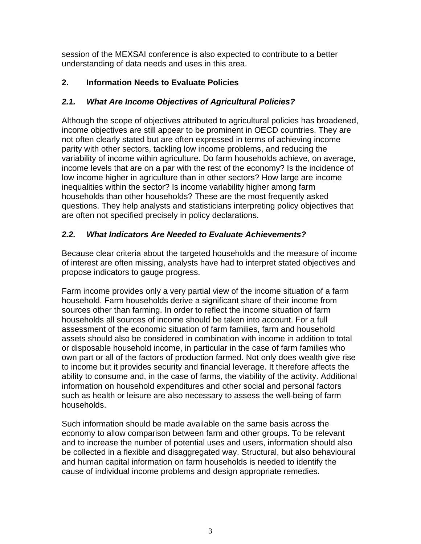session of the MEXSAI conference is also expected to contribute to a better understanding of data needs and uses in this area.

# **2. Information Needs to Evaluate Policies**

# *2.1. What Are Income Objectives of Agricultural Policies?*

Although the scope of objectives attributed to agricultural policies has broadened, income objectives are still appear to be prominent in OECD countries. They are not often clearly stated but are often expressed in terms of achieving income parity with other sectors, tackling low income problems, and reducing the variability of income within agriculture. Do farm households achieve, on average, income levels that are on a par with the rest of the economy? Is the incidence of low income higher in agriculture than in other sectors? How large are income inequalities within the sector? Is income variability higher among farm households than other households? These are the most frequently asked questions. They help analysts and statisticians interpreting policy objectives that are often not specified precisely in policy declarations.

# *2.2. What Indicators Are Needed to Evaluate Achievements?*

Because clear criteria about the targeted households and the measure of income of interest are often missing, analysts have had to interpret stated objectives and propose indicators to gauge progress.

Farm income provides only a very partial view of the income situation of a farm household. Farm households derive a significant share of their income from sources other than farming. In order to reflect the income situation of farm households all sources of income should be taken into account. For a full assessment of the economic situation of farm families, farm and household assets should also be considered in combination with income in addition to total or disposable household income, in particular in the case of farm families who own part or all of the factors of production farmed. Not only does wealth give rise to income but it provides security and financial leverage. It therefore affects the ability to consume and, in the case of farms, the viability of the activity. Additional information on household expenditures and other social and personal factors such as health or leisure are also necessary to assess the well-being of farm households.

Such information should be made available on the same basis across the economy to allow comparison between farm and other groups. To be relevant and to increase the number of potential uses and users, information should also be collected in a flexible and disaggregated way. Structural, but also behavioural and human capital information on farm households is needed to identify the cause of individual income problems and design appropriate remedies.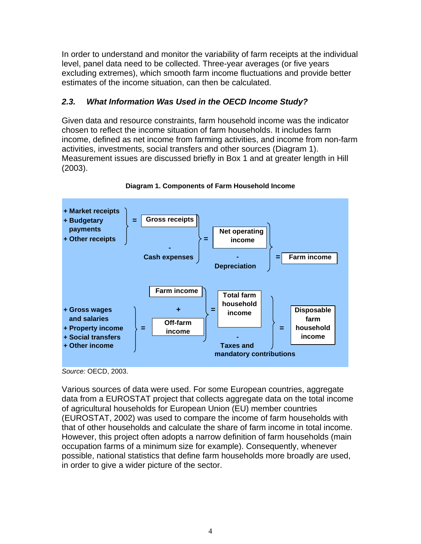In order to understand and monitor the variability of farm receipts at the individual level, panel data need to be collected. Three-year averages (or five years excluding extremes), which smooth farm income fluctuations and provide better estimates of the income situation, can then be calculated.

# *2.3. What Information Was Used in the OECD Income Study?*

Given data and resource constraints, farm household income was the indicator chosen to reflect the income situation of farm households. It includes farm income, defined as net income from farming activities, and income from non-farm activities, investments, social transfers and other sources (Diagram 1). Measurement issues are discussed briefly in Box 1 and at greater length in Hill (2003).



**Diagram 1. Components of Farm Household Income** 

*Source:* OECD, 2003.

Various sources of data were used. For some European countries, aggregate data from a EUROSTAT project that collects aggregate data on the total income of agricultural households for European Union (EU) member countries (EUROSTAT, 2002) was used to compare the income of farm households with that of other households and calculate the share of farm income in total income. However, this project often adopts a narrow definition of farm households (main occupation farms of a minimum size for example). Consequently, whenever possible, national statistics that define farm households more broadly are used, in order to give a wider picture of the sector.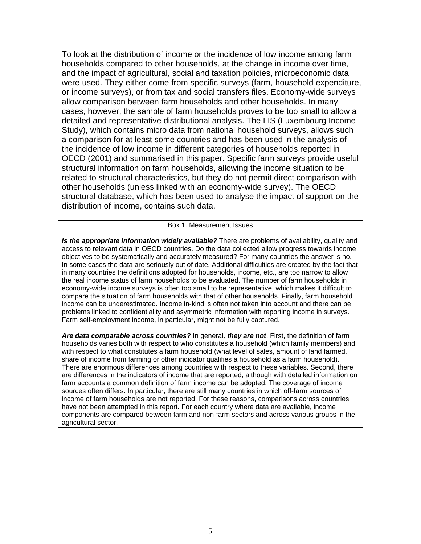To look at the distribution of income or the incidence of low income among farm households compared to other households, at the change in income over time, and the impact of agricultural, social and taxation policies, microeconomic data were used. They either come from specific surveys (farm, household expenditure, or income surveys), or from tax and social transfers files. Economy-wide surveys allow comparison between farm households and other households. In many cases, however, the sample of farm households proves to be too small to allow a detailed and representative distributional analysis. The LIS (Luxembourg Income Study), which contains micro data from national household surveys, allows such a comparison for at least some countries and has been used in the analysis of the incidence of low income in different categories of households reported in OECD (2001) and summarised in this paper. Specific farm surveys provide useful structural information on farm households, allowing the income situation to be related to structural characteristics, but they do not permit direct comparison with other households (unless linked with an economy-wide survey). The OECD structural database, which has been used to analyse the impact of support on the distribution of income, contains such data.

#### Box 1. Measurement Issues

*Is the appropriate information widely available?* There are problems of availability, quality and access to relevant data in OECD countries. Do the data collected allow progress towards income objectives to be systematically and accurately measured? For many countries the answer is no. In some cases the data are seriously out of date. Additional difficulties are created by the fact that in many countries the definitions adopted for households, income, etc., are too narrow to allow the real income status of farm households to be evaluated. The number of farm households in economy-wide income surveys is often too small to be representative, which makes it difficult to compare the situation of farm households with that of other households. Finally, farm household income can be underestimated. Income in-kind is often not taken into account and there can be problems linked to confidentiality and asymmetric information with reporting income in surveys. Farm self-employment income, in particular, might not be fully captured.

*Are data comparable across countries?* In general*, they are not*. First, the definition of farm households varies both with respect to who constitutes a household (which family members) and with respect to what constitutes a farm household (what level of sales, amount of land farmed, share of income from farming or other indicator qualifies a household as a farm household). There are enormous differences among countries with respect to these variables. Second, there are differences in the indicators of income that are reported, although with detailed information on farm accounts a common definition of farm income can be adopted. The coverage of income sources often differs. In particular, there are still many countries in which off-farm sources of income of farm households are not reported. For these reasons, comparisons across countries have not been attempted in this report. For each country where data are available, income components are compared between farm and non-farm sectors and across various groups in the agricultural sector.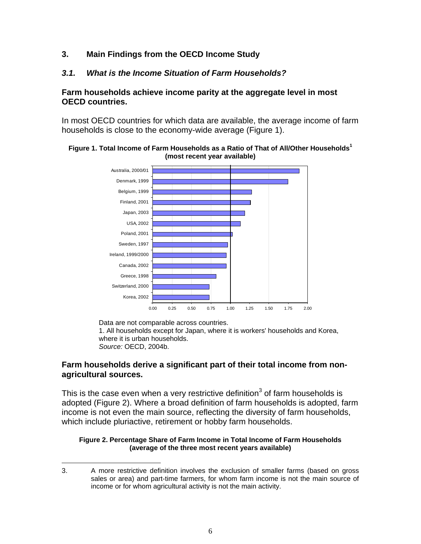# **3. Main Findings from the OECD Income Study**

# *3.1. What is the Income Situation of Farm Households?*

# **Farm households achieve income parity at the aggregate level in most OECD countries.**

In most OECD countries for which data are available, the average income of farm households is close to the economy-wide average (Figure 1).





Data are not comparable across countries.

1. All households except for Japan, where it is workers' households and Korea, where it is urban households. *Source:* OECD, 2004b.

# **Farm households derive a significant part of their total income from nonagricultural sources.**

This is the case even when a very restrictive definition<sup>3</sup> of farm households is adopted (Figure 2). Where a broad definition of farm households is adopted, farm income is not even the main source, reflecting the diversity of farm households, which include pluriactive, retirement or hobby farm households.

#### **Figure 2. Percentage Share of Farm Income in Total Income of Farm Households (average of the three most recent years available)**

 $\overline{a}$ 3. A more restrictive definition involves the exclusion of smaller farms (based on gross sales or area) and part-time farmers, for whom farm income is not the main source of income or for whom agricultural activity is not the main activity.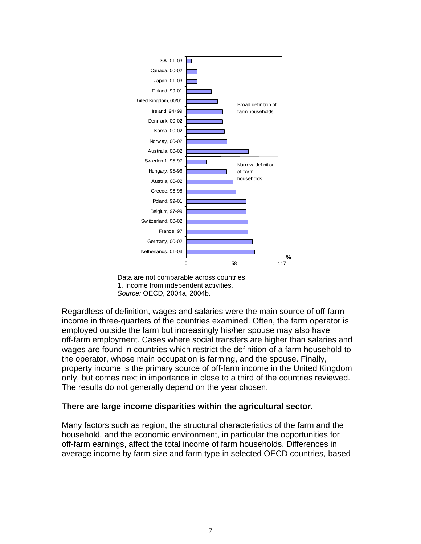



Regardless of definition, wages and salaries were the main source of off-farm income in three-quarters of the countries examined. Often, the farm operator is employed outside the farm but increasingly his/her spouse may also have off-farm employment. Cases where social transfers are higher than salaries and wages are found in countries which restrict the definition of a farm household to the operator, whose main occupation is farming, and the spouse. Finally, property income is the primary source of off-farm income in the United Kingdom only, but comes next in importance in close to a third of the countries reviewed. The results do not generally depend on the year chosen.

#### **There are large income disparities within the agricultural sector.**

Many factors such as region, the structural characteristics of the farm and the household, and the economic environment, in particular the opportunities for off-farm earnings, affect the total income of farm households. Differences in average income by farm size and farm type in selected OECD countries, based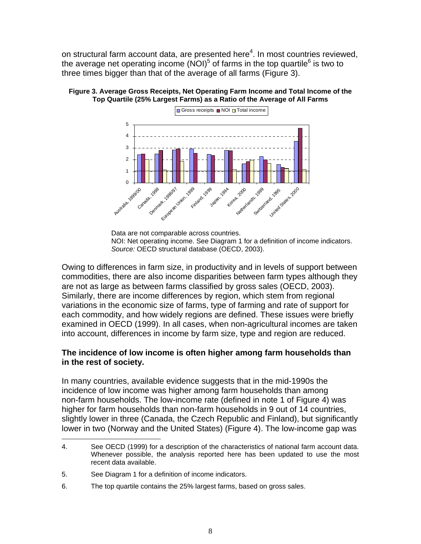on structural farm account data, are presented here<sup>4</sup>. In most countries reviewed, the average net operating income (NOI)<sup>5</sup> of farms in the top quartile<sup>6</sup> is two to three times bigger than that of the average of all farms (Figure 3).

#### **Figure 3. Average Gross Receipts, Net Operating Farm Income and Total Income of the Top Quartile (25% Largest Farms) as a Ratio of the Average of All Farms**



Data are not comparable across countries. NOI: Net operating income. See Diagram 1 for a definition of income indicators. *Source:* OECD structural database (OECD, 2003).

Owing to differences in farm size, in productivity and in levels of support between commodities, there are also income disparities between farm types although they are not as large as between farms classified by gross sales (OECD, 2003). Similarly, there are income differences by region, which stem from regional variations in the economic size of farms, type of farming and rate of support for each commodity, and how widely regions are defined. These issues were briefly examined in OECD (1999). In all cases, when non-agricultural incomes are taken into account, differences in income by farm size, type and region are reduced.

# **The incidence of low income is often higher among farm households than in the rest of society.**

In many countries, available evidence suggests that in the mid-1990s the incidence of low income was higher among farm households than among non-farm households. The low-income rate (defined in note 1 of Figure 4) was higher for farm households than non-farm households in 9 out of 14 countries, slightly lower in three (Canada, the Czech Republic and Finland), but significantly lower in two (Norway and the United States) (Figure 4). The low-income gap was

 $\overline{a}$ 4. See OECD (1999) for a description of the characteristics of national farm account data. Whenever possible, the analysis reported here has been updated to use the most recent data available.

<sup>5.</sup> See Diagram 1 for a definition of income indicators.

<sup>6.</sup> The top quartile contains the 25% largest farms, based on gross sales.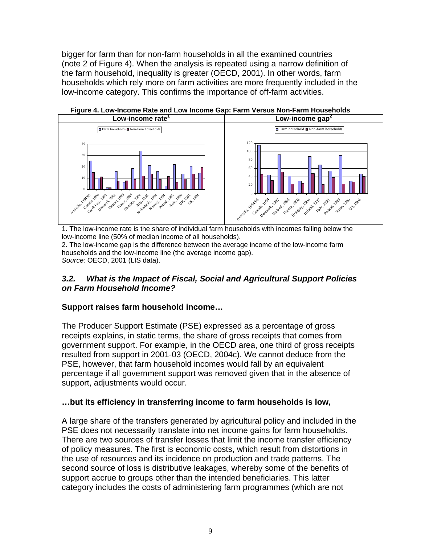bigger for farm than for non-farm households in all the examined countries (note 2 of Figure 4). When the analysis is repeated using a narrow definition of the farm household, inequality is greater (OECD, 2001). In other words, farm households which rely more on farm activities are more frequently included in the low-income category. This confirms the importance of off-farm activities.



**Figure 4. Low-Income Rate and Low Income Gap: Farm Versus Non-Farm Households** 

1. The low-income rate is the share of individual farm households with incomes falling below the low-income line (50% of median income of all households).

2. The low-income gap is the difference between the average income of the low-income farm households and the low-income line (the average income gap). *Source:* OECD, 2001 (LIS data).

# *3.2. What is the Impact of Fiscal, Social and Agricultural Support Policies on Farm Household Income?*

# **Support raises farm household income…**

The Producer Support Estimate (PSE) expressed as a percentage of gross receipts explains, in static terms, the share of gross receipts that comes from government support. For example, in the OECD area, one third of gross receipts resulted from support in 2001-03 (OECD, 2004c). We cannot deduce from the PSE, however, that farm household incomes would fall by an equivalent percentage if all government support was removed given that in the absence of support, adjustments would occur.

# **…but its efficiency in transferring income to farm households is low,**

A large share of the transfers generated by agricultural policy and included in the PSE does not necessarily translate into net income gains for farm households. There are two sources of transfer losses that limit the income transfer efficiency of policy measures. The first is economic costs, which result from distortions in the use of resources and its incidence on production and trade patterns. The second source of loss is distributive leakages, whereby some of the benefits of support accrue to groups other than the intended beneficiaries. This latter category includes the costs of administering farm programmes (which are not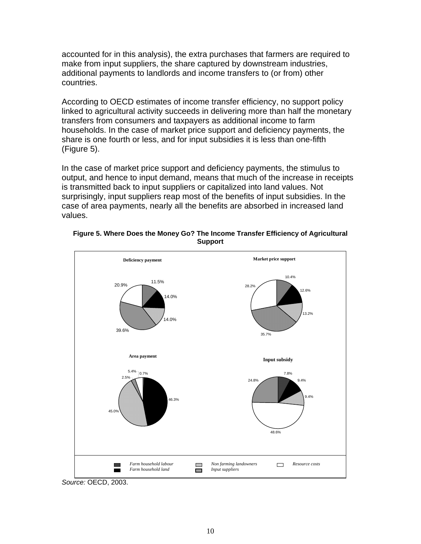accounted for in this analysis), the extra purchases that farmers are required to make from input suppliers, the share captured by downstream industries, additional payments to landlords and income transfers to (or from) other countries.

According to OECD estimates of income transfer efficiency, no support policy linked to agricultural activity succeeds in delivering more than half the monetary transfers from consumers and taxpayers as additional income to farm households. In the case of market price support and deficiency payments, the share is one fourth or less, and for input subsidies it is less than one-fifth (Figure 5).

In the case of market price support and deficiency payments, the stimulus to output, and hence to input demand, means that much of the increase in receipts is transmitted back to input suppliers or capitalized into land values. Not surprisingly, input suppliers reap most of the benefits of input subsidies. In the case of area payments, nearly all the benefits are absorbed in increased land values.





*Source:* OECD, 2003.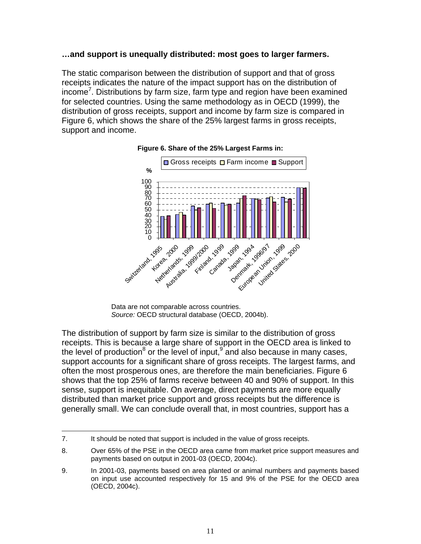# **…and support is unequally distributed: most goes to larger farmers.**

The static comparison between the distribution of support and that of gross receipts indicates the nature of the impact support has on the distribution of income<sup>7</sup>. Distributions by farm size, farm type and region have been examined for selected countries. Using the same methodology as in OECD (1999), the distribution of gross receipts, support and income by farm size is compared in Figure 6, which shows the share of the 25% largest farms in gross receipts, support and income.





Data are not comparable across countries. *Source:* OECD structural database (OECD, 2004b).

The distribution of support by farm size is similar to the distribution of gross receipts. This is because a large share of support in the OECD area is linked to the level of production<sup>8</sup> or the level of input,  $9$  and also because in many cases, support accounts for a significant share of gross receipts. The largest farms, and often the most prosperous ones, are therefore the main beneficiaries. Figure 6 shows that the top 25% of farms receive between 40 and 90% of support. In this sense, support is inequitable. On average, direct payments are more equally distributed than market price support and gross receipts but the difference is generally small. We can conclude overall that, in most countries, support has a

 $\overline{a}$ 7. It should be noted that support is included in the value of gross receipts.

<sup>8.</sup> Over 65% of the PSE in the OECD area came from market price support measures and payments based on output in 2001-03 (OECD, 2004c).

<sup>9.</sup> In 2001-03, payments based on area planted or animal numbers and payments based on input use accounted respectively for 15 and 9% of the PSE for the OECD area (OECD, 2004c).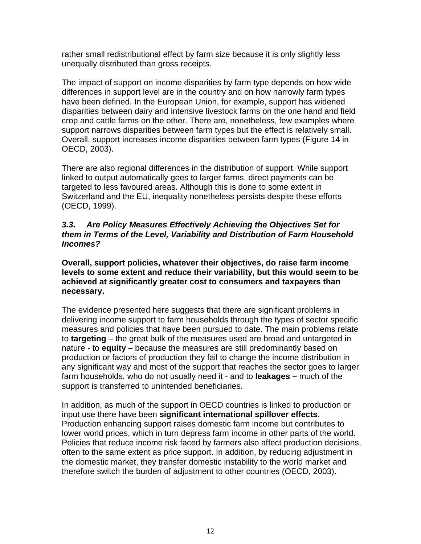rather small redistributional effect by farm size because it is only slightly less unequally distributed than gross receipts.

The impact of support on income disparities by farm type depends on how wide differences in support level are in the country and on how narrowly farm types have been defined. In the European Union, for example, support has widened disparities between dairy and intensive livestock farms on the one hand and field crop and cattle farms on the other. There are, nonetheless, few examples where support narrows disparities between farm types but the effect is relatively small. Overall, support increases income disparities between farm types (Figure 14 in OECD, 2003).

There are also regional differences in the distribution of support. While support linked to output automatically goes to larger farms, direct payments can be targeted to less favoured areas. Although this is done to some extent in Switzerland and the EU, inequality nonetheless persists despite these efforts (OECD, 1999).

# *3.3. Are Policy Measures Effectively Achieving the Objectives Set for them in Terms of the Level, Variability and Distribution of Farm Household Incomes?*

**Overall, support policies, whatever their objectives, do raise farm income levels to some extent and reduce their variability, but this would seem to be achieved at significantly greater cost to consumers and taxpayers than necessary.**

The evidence presented here suggests that there are significant problems in delivering income support to farm households through the types of sector specific measures and policies that have been pursued to date. The main problems relate to **targeting** – the great bulk of the measures used are broad and untargeted in nature - to **equity –** because the measures are still predominantly based on production or factors of production they fail to change the income distribution in any significant way and most of the support that reaches the sector goes to larger farm households, who do not usually need it - and to **leakages –** much of the support is transferred to unintended beneficiaries.

In addition, as much of the support in OECD countries is linked to production or input use there have been **significant international spillover effects**. Production enhancing support raises domestic farm income but contributes to lower world prices, which in turn depress farm income in other parts of the world. Policies that reduce income risk faced by farmers also affect production decisions, often to the same extent as price support. In addition, by reducing adjustment in the domestic market, they transfer domestic instability to the world market and therefore switch the burden of adjustment to other countries (OECD, 2003).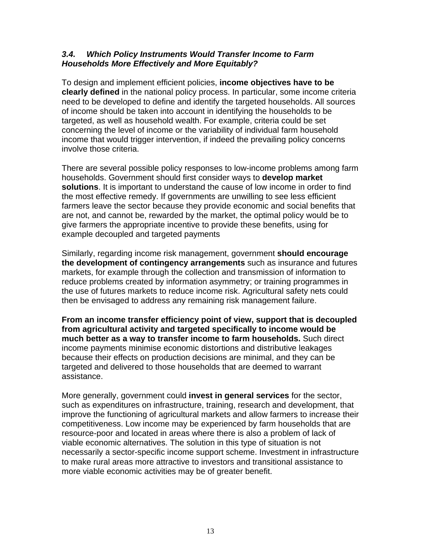# *3.4. Which Policy Instruments Would Transfer Income to Farm Households More Effectively and More Equitably?*

To design and implement efficient policies, **income objectives have to be clearly defined** in the national policy process. In particular, some income criteria need to be developed to define and identify the targeted households. All sources of income should be taken into account in identifying the households to be targeted, as well as household wealth. For example, criteria could be set concerning the level of income or the variability of individual farm household income that would trigger intervention, if indeed the prevailing policy concerns involve those criteria.

There are several possible policy responses to low-income problems among farm households. Government should first consider ways to **develop market solutions**. It is important to understand the cause of low income in order to find the most effective remedy. If governments are unwilling to see less efficient farmers leave the sector because they provide economic and social benefits that are not, and cannot be, rewarded by the market, the optimal policy would be to give farmers the appropriate incentive to provide these benefits, using for example decoupled and targeted payments

Similarly, regarding income risk management, government **should encourage the development of contingency arrangements** such as insurance and futures markets, for example through the collection and transmission of information to reduce problems created by information asymmetry; or training programmes in the use of futures markets to reduce income risk. Agricultural safety nets could then be envisaged to address any remaining risk management failure.

**From an income transfer efficiency point of view, support that is decoupled from agricultural activity and targeted specifically to income would be much better as a way to transfer income to farm households.** Such direct income payments minimise economic distortions and distributive leakages because their effects on production decisions are minimal, and they can be targeted and delivered to those households that are deemed to warrant assistance.

More generally, government could **invest in general services** for the sector, such as expenditures on infrastructure, training, research and development, that improve the functioning of agricultural markets and allow farmers to increase their competitiveness. Low income may be experienced by farm households that are resource-poor and located in areas where there is also a problem of lack of viable economic alternatives. The solution in this type of situation is not necessarily a sector-specific income support scheme. Investment in infrastructure to make rural areas more attractive to investors and transitional assistance to more viable economic activities may be of greater benefit.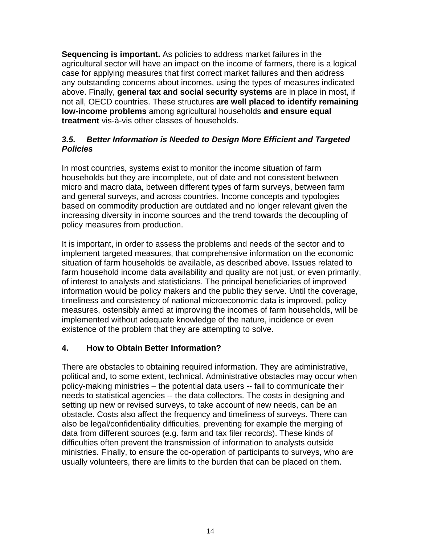**Sequencing is important.** As policies to address market failures in the agricultural sector will have an impact on the income of farmers, there is a logical case for applying measures that first correct market failures and then address any outstanding concerns about incomes, using the types of measures indicated above. Finally, **general tax and social security systems** are in place in most, if not all, OECD countries. These structures **are well placed to identify remaining low-income problems** among agricultural households **and ensure equal treatment** vis-à-vis other classes of households.

# *3.5. Better Information is Needed to Design More Efficient and Targeted Policies*

In most countries, systems exist to monitor the income situation of farm households but they are incomplete, out of date and not consistent between micro and macro data, between different types of farm surveys, between farm and general surveys, and across countries. Income concepts and typologies based on commodity production are outdated and no longer relevant given the increasing diversity in income sources and the trend towards the decoupling of policy measures from production.

It is important, in order to assess the problems and needs of the sector and to implement targeted measures, that comprehensive information on the economic situation of farm households be available, as described above. Issues related to farm household income data availability and quality are not just, or even primarily, of interest to analysts and statisticians. The principal beneficiaries of improved information would be policy makers and the public they serve. Until the coverage, timeliness and consistency of national microeconomic data is improved, policy measures, ostensibly aimed at improving the incomes of farm households, will be implemented without adequate knowledge of the nature, incidence or even existence of the problem that they are attempting to solve.

# **4. How to Obtain Better Information?**

There are obstacles to obtaining required information. They are administrative, political and, to some extent, technical. Administrative obstacles may occur when policy-making ministries – the potential data users -- fail to communicate their needs to statistical agencies -- the data collectors. The costs in designing and setting up new or revised surveys, to take account of new needs, can be an obstacle. Costs also affect the frequency and timeliness of surveys. There can also be legal/confidentiality difficulties, preventing for example the merging of data from different sources (e.g. farm and tax filer records). These kinds of difficulties often prevent the transmission of information to analysts outside ministries. Finally, to ensure the co-operation of participants to surveys, who are usually volunteers, there are limits to the burden that can be placed on them.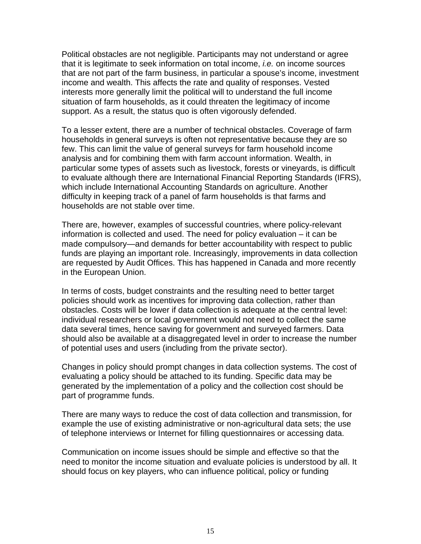Political obstacles are not negligible. Participants may not understand or agree that it is legitimate to seek information on total income, *i.e.* on income sources that are not part of the farm business, in particular a spouse's income, investment income and wealth. This affects the rate and quality of responses. Vested interests more generally limit the political will to understand the full income situation of farm households, as it could threaten the legitimacy of income support. As a result, the status quo is often vigorously defended.

To a lesser extent, there are a number of technical obstacles. Coverage of farm households in general surveys is often not representative because they are so few. This can limit the value of general surveys for farm household income analysis and for combining them with farm account information. Wealth, in particular some types of assets such as livestock, forests or vineyards, is difficult to evaluate although there are International Financial Reporting Standards (IFRS), which include International Accounting Standards on agriculture. Another difficulty in keeping track of a panel of farm households is that farms and households are not stable over time.

There are, however, examples of successful countries, where policy-relevant information is collected and used. The need for policy evaluation – it can be made compulsory—and demands for better accountability with respect to public funds are playing an important role. Increasingly, improvements in data collection are requested by Audit Offices. This has happened in Canada and more recently in the European Union.

In terms of costs, budget constraints and the resulting need to better target policies should work as incentives for improving data collection, rather than obstacles. Costs will be lower if data collection is adequate at the central level: individual researchers or local government would not need to collect the same data several times, hence saving for government and surveyed farmers. Data should also be available at a disaggregated level in order to increase the number of potential uses and users (including from the private sector).

Changes in policy should prompt changes in data collection systems. The cost of evaluating a policy should be attached to its funding. Specific data may be generated by the implementation of a policy and the collection cost should be part of programme funds.

There are many ways to reduce the cost of data collection and transmission, for example the use of existing administrative or non-agricultural data sets; the use of telephone interviews or Internet for filling questionnaires or accessing data.

Communication on income issues should be simple and effective so that the need to monitor the income situation and evaluate policies is understood by all. It should focus on key players, who can influence political, policy or funding